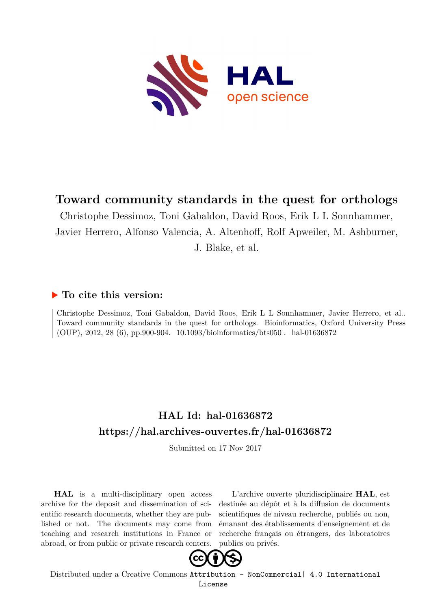

# **Toward community standards in the quest for orthologs**

Christophe Dessimoz, Toni Gabaldon, David Roos, Erik L L Sonnhammer, Javier Herrero, Alfonso Valencia, A. Altenhoff, Rolf Apweiler, M. Ashburner,

J. Blake, et al.

## **To cite this version:**

Christophe Dessimoz, Toni Gabaldon, David Roos, Erik L L Sonnhammer, Javier Herrero, et al.. Toward community standards in the quest for orthologs. Bioinformatics, Oxford University Press (OUP), 2012, 28 (6), pp.900-904.  $10.1093/bioinformatics/bts050$ . hal-01636872

## **HAL Id: hal-01636872 <https://hal.archives-ouvertes.fr/hal-01636872>**

Submitted on 17 Nov 2017

**HAL** is a multi-disciplinary open access archive for the deposit and dissemination of scientific research documents, whether they are published or not. The documents may come from teaching and research institutions in France or abroad, or from public or private research centers.

L'archive ouverte pluridisciplinaire **HAL**, est destinée au dépôt et à la diffusion de documents scientifiques de niveau recherche, publiés ou non, émanant des établissements d'enseignement et de recherche français ou étrangers, des laboratoires publics ou privés.



Distributed under a Creative Commons [Attribution - NonCommercial| 4.0 International](http://creativecommons.org/licenses/by-nc/4.0/) [License](http://creativecommons.org/licenses/by-nc/4.0/)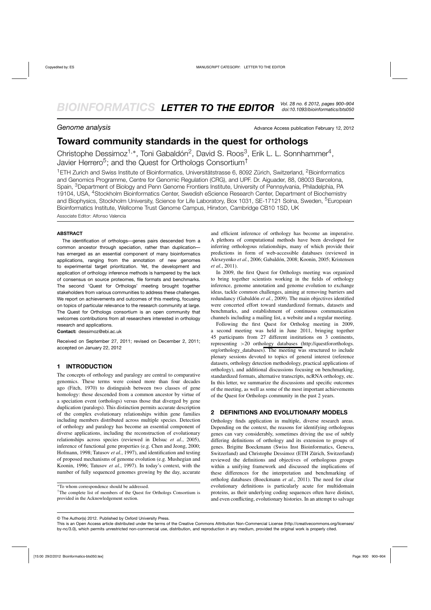Genome analysis **Advance Access publication February 12**, 2012

## **Toward community standards in the quest for orthologs**

Christophe Dessimoz<sup>1,\*</sup>, Toni Gabaldón<sup>2</sup>, David S. Roos<sup>3</sup>, Erik L. L. Sonnhammer<sup>4</sup>, Javier Herrero<sup>5</sup>; and the Quest for Orthologs Consortium<sup>+</sup>

<sup>1</sup>ETH Zurich and Swiss Institute of Bioinformatics, Universitätstrasse 6, 8092 Zürich, Switzerland, <sup>2</sup>Bioinformatics and Genomics Programme, Centre for Genomic Regulation (CRG), and UPF. Dr. Aiguader, 88, 08003 Barcelona, Spain, <sup>3</sup>Department of Biology and Penn Genome Frontiers Institute, University of Pennsylvania, Philadelphia, PA 19104, USA, 4Stockholm Bioinformatics Center, Swedish eScience Research Center, Department of Biochemistry and Biophysics, Stockholm University, Science for Life Laboratory, Box 1031, SE-17121 Solna, Sweden, <sup>5</sup>European Bioinformatics Institute, Wellcome Trust Genome Campus, Hinxton, Cambridge CB10 1SD, UK

Associate Editor: Alfonso Valencia

#### **ABSTRACT**

The identification of orthologs—genes pairs descended from a common ancestor through speciation, rather than duplication has emerged as an essential component of many bioinformatics applications, ranging from the annotation of new genomes to experimental target prioritization. Yet, the development and application of orthology inference methods is hampered by the lack of consensus on source proteomes, file formats and benchmarks. The second 'Quest for Orthologs' meeting brought together stakeholders from various communities to address these challenges. We report on achievements and outcomes of this meeting, focusing on topics of particular relevance to the research community at large. The Quest for Orthologs consortium is an open community that welcomes contributions from all researchers interested in orthology research and applications.

**Contact:** dessimoz@ebi.ac.uk

Received on September 27, 2011; revised on December 2, 2011; accepted on January 22, 2012

#### **1 INTRODUCTION**

The concepts of orthology and paralogy are central to comparative genomics. These terms were coined more than four decades ago (Fitch, 1970) to distinguish between two classes of gene homology: those descended from a common ancestor by virtue of a speciation event (orthologs) versus those that diverged by gene duplication (paralogs). This distinction permits accurate description of the complex evolutionary relationships within gene families including members distributed across multiple species. Detection of orthology and paralogy has become an essential component of diverse applications, including the reconstruction of evolutionary relationships across species (reviewed in Delsuc *et al.*, 2005), inference of functional gene properties (e.g. Chen and Jeong, 2000; Hofmann, 1998; Tatusov *et al.*, 1997), and identification and testing of proposed mechanisms of genome evolution (e.g. Mushegian and Koonin, 1996; Tatusov *et al.*, 1997). In today's context, with the number of fully sequenced genomes growing by the day, accurate

∗To whom correspondence should be addressed.

†The complete list of members of the Quest for Orthologs Consortium is provided in the Acknowledgement section.

and efficient inference of orthology has become an imperative. A plethora of computational methods have been developed for inferring orthologous relationships, many of which provide their predictions in form of web-accessible databases (reviewed in Alexeyenko *et al.*, 2006; Gabaldón, 2008; Koonin, 2005; Kristensen *et al.*, 2011).

In 2009, the first Quest for Orthologs meeting was organized to bring together scientists working in the fields of orthology inference, genome annotation and genome evolution to exchange ideas, tackle common challenges, aiming at removing barriers and redundancy (Gabaldón *et al.*, 2009). The main objectives identified were concerted effort toward standardized formats, datasets and benchmarks, and establishment of continuous communication channels including a mailing list, a website and a regular meeting.

Following the first Quest for Ortholog meeting in 2009, a second meeting was held in June 2011, bringing together 45 participants from 27 different institutions on 3 continents, representing >20 orthology databases (http://questfororthologs. org/orthology\_databases). The meeting was structured to include plenary sessions devoted to topics of general interest (reference datasets, orthology detection methodology, practical applications of orthology), and additional discussions focusing on benchmarking, standardized formats, alternative transcripts, ncRNA orthology, etc. In this letter, we summarize the discussions and specific outcomes of the meeting, as well as some of the most important achievements of the Quest for Orthologs community in the past 2 years.

#### **2 DEFINITIONS AND EVOLUTIONARY MODELS**

Orthology finds application in multiple, diverse research areas. Depending on the context, the reasons for identifying orthologous genes can vary considerably, sometimes driving the use of subtly differing definitions of orthology and its extension to groups of genes. Brigitte Boeckmann (Swiss Inst Bioinformatics, Geneva, Switzerland) and Christophe Dessimoz (ETH Zürich, Switzerland) reviewed the definitions and objectives of orthologous groups within a unifying framework and discussed the implications of these differences for the interpretation and benchmarking of ortholog databases (Boeckmann *et al.*, 2011). The need for clear evolutionary definitions is particularly acute for multidomain proteins, as their underlying coding sequences often have distinct, and even conflicting, evolutionary histories. In an attempt to salvage

© The Author(s) 2012. Published by Oxford University Press.

This is an Open Access article distributed under the terms of the Creative Commons Attribution Non-Commercial License (http://creativecommons.org/licenses/ by-nc/3.0), which permits unrestricted non-commercial use, distribution, and reproduction in any medium, provided the original work is properly cited.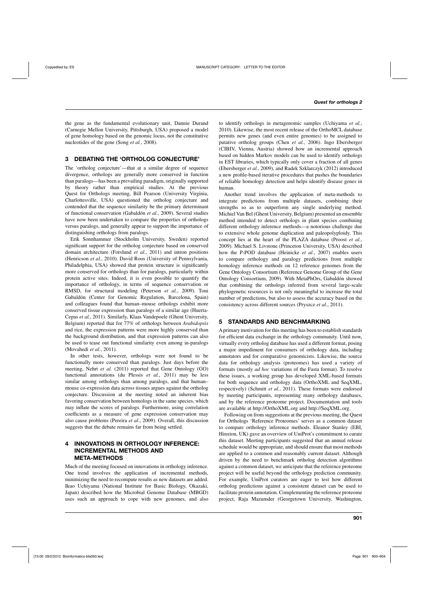the gene as the fundamental evolutionary unit, Dannie Durand (Carnegie Mellon University, Pittsburgh, USA) proposed a model of gene homology based on the genomic locus, not the constitutive nucleotides of the gene (Song *et al.*, 2008).

#### **3 DEBATING THE 'ORTHOLOG CONJECTURE'**

The 'ortholog conjecture'—that at a similar degree of sequence divergence, orthologs are generally more conserved in function than paralogs—has been a prevailing paradigm, originally supported by theory rather than empirical studies. At the previous Quest for Orthologs meeting, Bill Pearson (University Virginia, Charlottesville, USA) questioned the ortholog conjecture and contended that the sequence similarity be the primary determinant of functional conservation (Gabaldón *et al.*, 2009). Several studies have now been undertaken to compare the properties of orthologs versus paralogs, and generally appear to support the importance of distinguishing orthologs from paralogs.

Erik Sonnhammer (Stockholm University, Sweden) reported significant support for the ortholog conjecture based on conserved domain architecture (Forslund *et al.*, 2011) and intron positions (Henricson *et al.*, 2010). David Roos (University of Pennsylvania, Philadelphia, USA) showed that protein structure is significantly more conserved for orthologs than for paralogs, particularly within protein active sites. Indeed, it is even possible to quantify the importance of orthology, in terms of sequence conservation or RMSD, for structural modeling (Peterson *et al.*, 2009). Toni Gabaldón (Center for Genomic Regulation, Barcelona, Spain) and colleagues found that human–mouse orthologs exhibit more conserved tissue expression than paralogs of a similar age (Huerta-Cepas *et al.*, 2011). Similarly, Klaas Vandepoele (Ghent University, Belgium) reported that for 77% of orthologs between *Arabidopsis* and rice, the expression patterns were more highly conserved than the background distribution, and that expression patterns can also be used to tease out functional similarity even among in-paralogs (Movahedi *et al.*, 2011).

In other tests, however, orthologs were not found to be functionally more conserved than paralogs. Just days before the meeting, Nehrt *et al.* (2011) reported that Gene Ontology (GO) functional annotations (du Plessis *et al.*, 2011) may be less similar among orthologs than among paralogs, and that human– mouse co-expression data across tissues argues against the ortholog conjecture. Discussion at the meeting noted an inherent bias favoring conservation between homologs in the same species, which may inflate the scores of paralogs. Furthermore, using correlation coefficients as a measure of gene expression conservation may also cause problems (Pereira *et al.*, 2009). Overall, this discussion suggests that the debate remains far from being settled.

#### **4 INNOVATIONS IN ORTHOLOGY INFERENCE: INCREMENTAL METHODS AND META-METHODS**

Much of the meeting focused on innovations in orthology inference. One trend involves the application of incremental methods, minimizing the need to recompute results as new datasets are added. Ikuo Uchiyama (National Institute for Basic Biology, Okazaki, Japan) described how the Microbial Genome Database (MBGD) uses such an approach to cope with new genomes, and also

to identify orthologs in metagenomic samples (Uchiyama *et al.*, 2010). Likewise, the most recent release of the OrthoMCL database permits new genes (and even entire genomes) to be assigned to putative ortholog groups (Chen *et al.*, 2006). Ingo Ebersberger (CIBIV, Vienna, Austria) showed how an incremental approach based on hidden Markov models can be used to identify orthologs in EST libraries, which typically only cover a fraction of all genes (Ebersberger *et al.*, 2009), and Radek Szklarczyk (2012) introduced a new profile-based iterative procedures that pushes the boundaries of reliable homology detection and helps identify disease genes in human.

Another trend involves the application of meta-methods to integrate predictions from multiple datasets, combining their strengths so as to outperform any single underlying method. Michiel Van Bel (Ghent University, Belgium) presented an ensemble method intended to detect orthologs in plant species combining different orthology inference methods—a notorious challenge due to extensive whole genome duplication and paleopolyploidy. This concept lies at the heart of the PLAZA database (Proost *et al.*, 2009). Michael S. Livstone (Princeton University, USA) described how the P-POD database (Heinicke *et al.*, 2007) enables users to compare orthology and paralogy predictions from multiple homology inference methods on 12 reference genomes from the Gene Ontology Consortium (Reference Genome Group of the Gene Ontology Consortium, 2009). With MetaPhOrs, Gabaldón showed that combining the orthologs inferred from several large-scale phylogenetic resources is not only meaningful to increase the total number of predictions, but also to assess the accuracy based on the consistency across different sources (Pryszcz *et al.*, 2011).

#### **5 STANDARDS AND BENCHMARKING**

A primary motivation for this meeting has been to establish standards for efficient data exchange in the orthology community. Until now, virtually every ortholog database has used a different format, posing a major impediment for consumers of orthology data, including annotators and for comparative genomicists. Likewise, the source data for orthology analysis (proteomes) has used a variety of formats (mostly *ad hoc* variations of the Fasta format). To resolve these issues, a working group has developed XML-based formats for both sequence and orthology data (OrthoXML and SeqXML, respectively) (Schmitt *et al.*, 2011). These formats were endorsed by meeting participants, representing many orthology databases, and by the reference proteome project. Documentation and tools are available at http://OrthoXML.org and http://SeqXML.org.

Following on from suggestions at the previous meeting, the Quest for Orthologs 'Reference Proteomes' serves as a common dataset to compare orthology inference methods. Eleanor Stanley (EBI, Hinxton, UK) gave an overview of UniProt's commitment to curate this dataset. Meeting participants suggested that an annual release schedule would be appropriate, and should ensure that most methods are applied to a common and reasonably current dataset. Although driven by the need to benchmark ortholog detection algorithms against a common dataset, we anticipate that the reference proteome project will be useful beyond the orthology prediction community. For example, UniProt curators are eager to test how different ortholog predictions against a consistent dataset can be used to facilitate protein annotation. Complementing the reference proteome project, Raja Mazumder (Georgetown University, Washington,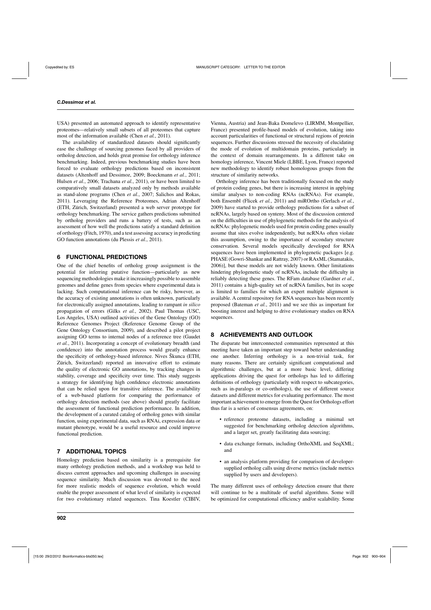USA) presented an automated approach to identify representative proteomes—relatively small subsets of all proteomes that capture most of the information available (Chen *et al.*, 2011).

The availability of standardized datasets should significantly ease the challenge of sourcing genomes faced by all providers of ortholog detection, and holds great promise for orthology inference benchmarking. Indeed, previous benchmarking studies have been forced to evaluate orthology predictions based on inconsistent datasets (Altenhoff and Dessimoz, 2009; Boeckmann *et al.*, 2011; Hulsen *et al.*, 2006; Trachana *et al.*, 2011), or have been limited to comparatively small datasets analyzed only by methods available as stand-alone programs (Chen *et al.*, 2007; Salichos and Rokas, 2011). Leveraging the Reference Proteomes, Adrian Altenhoff (ETH, Zürich, Switzerland) presented a web server prototype for orthology benchmarking. The service gathers predictions submitted by ortholog providers and runs a battery of tests, such as an assessment of how well the predictions satisfy a standard definition of orthology (Fitch, 1970), and a test assessing accuracy in predicting GO function annotations (du Plessis *et al.*, 2011).

#### **6 FUNCTIONAL PREDICTIONS**

One of the chief benefits of ortholog group assignment is the potential for inferring putative function—particularly as new sequencing methodologies make it increasingly possible to assemble genomes and define genes from species where experimental data is lacking. Such computational inference can be risky, however, as the accuracy of existing annotations is often unknown, particularly for electronically assigned annotations, leading to rampant *in silico* propagation of errors (Gilks *et al.*, 2002). Paul Thomas (USC, Los Angeles, USA) outlined activities of the Gene Ontology (GO) Reference Genomes Project (Reference Genome Group of the Gene Ontology Consortium, 2009), and described a pilot project assigning GO terms to internal nodes of a reference tree (Gaudet *et al.*, 2011). Incorporating a concept of evolutionary breadth (and confidence) into the annotation process would greatly enhance the specificity of orthology-based inference. Nives Škunca (ETH, Zürich, Switzerland) reported an innovative effort to estimate the quality of electronic GO annotations, by tracking changes in stability, coverage and specificity over time. This study suggests a strategy for identifying high confidence electronic annotations that can be relied upon for transitive inference. The availability of a web-based platform for comparing the performance of orthology detection methods (see above) should greatly facilitate the assessment of functional prediction performance. In addition, the development of a curated catalog of ortholog genes with similar function, using experimental data, such as RNAi, expression data or mutant phenotype, would be a useful resource and could improve functional prediction.

#### **7 ADDITIONAL TOPICS**

Homology prediction based on similarity is a prerequisite for many orthology prediction methods, and a workshop was held to discuss current approaches and upcoming challenges in assessing sequence similarity. Much discussion was devoted to the need for more realistic models of sequence evolution, which would enable the proper assessment of what level of similarity is expected for two evolutionary related sequences. Tina Koestler (CIBIV,

Vienna, Austria) and Jean-Baka Domelevo (LIRMM, Montpellier, France) presented profile-based models of evolution, taking into account particularities of functional or structural regions of protein sequences. Further discussions stressed the necessity of elucidating the mode of evolution of multidomain proteins, particularly in the context of domain rearrangements. In a different take on homology inference, Vincent Miele (LBBE, Lyon, France) reported new methodology to identify robust homologous groups from the structure of similarity networks.

Orthology inference has been traditionally focused on the study of protein coding genes, but there is increasing interest in applying similar analyses to non-coding RNAs (ncRNAs). For example, both Ensembl (Flicek *et al.*, 2011) and miROrtho (Gerlach *et al.*, 2009) have started to provide orthology predictions for a subset of ncRNAs, largely based on synteny. Most of the discussion centered on the difficulties in use of phylogenetic methods for the analysis of ncRNAs: phylogenetic models used for protein coding genes usually assume that sites evolve independently, but ncRNAs often violate this assumption, owing to the importance of secondary structure conservation. Several models specifically developed for RNA sequences have been implemented in phylogenetic packages [e.g. PHASE (Gowri-Shankar and Rattray, 2007) or RAxML (Stamatakis, 2006)], but these models are not widely known. Other limitations hindering phylogenetic study of ncRNAs, include the difficulty in reliably detecting these genes. The RFam database (Gardner *et al.*, 2011) contains a high-quality set of ncRNA families, but its scope is limited to families for which an expert multiple alignment is available. A central repository for RNA sequences has been recently proposed (Bateman *et al.*, 2011) and we see this as important for boosting interest and helping to drive evolutionary studies on RNA sequences.

### **8 ACHIEVEMENTS AND OUTLOOK**

The disparate but interconnected communities represented at this meeting have taken an important step toward better understanding one another. Inferring orthology is a non-trivial task, for many reasons. There are certainly significant computational and algorithmic challenges, but at a more basic level, differing applications driving the quest for orthologs has led to differing definitions of orthology (particularly with respect to subcategories, such as in-paralogs or co-orthologs), the use of different source datasets and different metrics for evaluating performance. The most important achievement to emerge from the Quest for Orthologs effort thus far is a series of consensus agreements, on:

- reference proteome datasets, including a minimal set suggested for benchmarking ortholog detection algorithms, and a larger set, greatly facilitating data sourcing;
- data exchange formats, including OrthoXML and SeqXML; and
- an analysis platform providing for comparison of developersupplied ortholog calls using diverse metrics (include metrics supplied by users and developers).

The many different uses of orthology detection ensure that there will continue to be a multitude of useful algorithms. Some will be optimized for computational efficiency and/or scalability. Some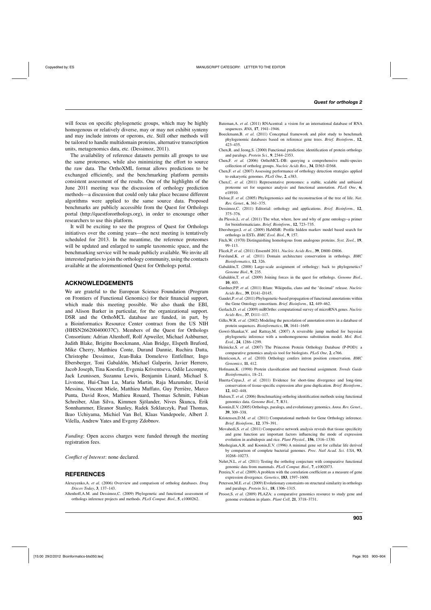will focus on specific phylogenetic groups, which may be highly homogenous or relatively diverse, may or may not exhibit synteny and may include introns or operons, etc. Still other methods will be tailored to handle multidomain proteins, alternative transcription units, metagenomics data, etc. (Dessimoz, 2011).

The availability of reference datasets permits all groups to use the same proteomes, while also minimizing the effort to source the raw data. The OrthoXML format allows predictions to be exchanged efficiently, and the benchmarking platform permits consistent assessment of the results. One of the highlights of the June 2011 meeting was the discussion of orthology prediction methods—a discussion that could only take place because different algorithms were applied to the same source data. Proposed benchmarks are publicly accessible from the Quest for Orthologs portal (http://questfororthologs.org), in order to encourage other researchers to use this platform.

It will be exciting to see the progress of Quest for Orthologs initiatives over the coming years—the next meeting is tentatively scheduled for 2013. In the meantime, the reference proteomes will be updated and enlarged to sample taxonomic space, and the benchmarking service will be made publicly available. We invite all interested parties to join the orthology community, using the contacts available at the aforementioned Quest for Orthologs portal.

#### **ACKNOWLEDGEMENTS**

We are grateful to the European Science Foundation (Program on Frontiers of Functional Genomics) for their financial support, which made this meeting possible. We also thank the EBI, and Alison Barker in particular, for the organizational support. DSR and the OrthoMCL database are funded, in part, by a Bioinformatics Resource Center contract from the US NIH (HHSN266200400037C). Members of the Quest for Orthologs Consortium: Adrian Altenhoff, Rolf Apweiler, Michael Ashburner, Judith Blake, Brigitte Boeckmann, Alan Bridge, Elspeth Bruford, Mike Cherry, Matthieu Conte, Durand Dannie, Ruchira Datta, Christophe Dessimoz, Jean-Baka Domelevo Entfellner, Ingo Ebersberger, Toni Gabaldón, Michael Galperin, Javier Herrero, Jacob Joseph, Tina Koestler, Evgenia Kriventseva, Odile Lecompte, Jack Leunissen, Suzanna Lewis, Benjamin Linard, Michael S. Livstone, Hui-Chun Lu, Maria Martin, Raja Mazumder, David Messina, Vincent Miele, Matthieu Muffato, Guy Perrière, Marco Punta, David Roos, Mathieu Rouard, Thomas Schmitt, Fabian Schreiber, Alan Silva, Kimmen Sjölander, Nives Škunca, Erik Sonnhammer, Eleanor Stanley, Radek Szklarczyk, Paul Thomas, Ikuo Uchiyama, Michiel Van Bel, Klaas Vandepoele, Albert J. Vilella, Andrew Yates and Evgeny Zdobnov.

*Funding*: Open access charges were funded through the meeting registration fees.

*Conflict of Interest*: none declared.

#### **REFERENCES**

- Alexeyenko,A. *et al.* (2006) Overview and comparison of ortholog databases. *Drug Discov Today*, **3**, 137–143.
- Altenhoff,A.M. and Dessimoz,C. (2009) Phylogenetic and functional assessment of orthologs inference projects and methods. *PLoS Comput. Biol.*, **5**, e1000262.
- Bateman,A. *et al.* (2011) RNAcentral: a vision for an international database of RNA sequences. *RNA*, **17**, 1941–1946.
- Boeckmann,B. *et al.* (2011) Conceptual framework and pilot study to benchmark phylogenomic databases based on reference gene trees. *Brief. Bioinform.*, **12**, 423–435.
- Chen,R. and Jeong,S. (2000) Functional prediction: identification of protein orthologs and paralogs. *Protein Sci.*, **9**, 2344–2353.
- Chen,F. *et al.* (2006) OrthoMCL-DB: querying a comprehensive multi-species collection of ortholog groups. *Nucleic Acids Res.*, **34**, D363–D368.
- Chen,F. *et al.* (2007) Assessing performance of orthology detection strategies applied to eukaryotic genomes. *PLoS One*, **2**, e383.
- Chen,C. *et al.* (2011) Representative proteomes: a stable, scalable and unbiased proteome set for sequence analysis and functional annotation. *PLoS One*, **6**, e18910.
- Delsuc,F. *et al.* (2005) Phylogenomics and the reconstruction of the tree of life. *Nat. Rev. Genet.*, **6**, 361–375.
- Dessimoz,C. (2011) Editorial: orthology and applications. *Brief. Bioinform.*, **12**, 375–376.
- du Plessis,L. *et al.* (2011) The what, where, how and why of gene ontology–a primer for bioinformaticians. *Brief. Bioinform.*, **12**, 723–735.
- Ebersberger,I. *et al.* (2009) HaMStR: Profile hidden markov model based search for orthologs in ESTs. *BMC Evol. Biol.*, **9**, 157.
- Fitch,W. (1970) Distinguishing homologous from analogous proteins. *Syst. Zool.*, **19**, 99–113.
- Flicek,P. *et al.* (2011) Ensembl 2011. *Nucleic Acids Res.*, **39**, D800–D806.
- Forslund,K. *et al.* (2011) Domain architecture conservation in orthologs. *BMC Bioinformatics*, **12**, 326.
- Gabaldón,T. (2008) Large-scale assignment of orthology: back to phylogenetics? *Genome Biol.*, **9**, 235.
- Gabaldón,T. *et al.* (2009) Joining forces in the quest for orthologs. *Genome Biol.*, **10**, 403.
- Gardner,P.P. *et al.* (2011) Rfam: Wikipedia, clans and the "decimal" release. *Nucleic Acids Res.*, **39**, D141–D145.
- Gaudet,P. *et al.* (2011) Phylogenetic-based propagation of functional annotations within the Gene Ontology consortium. *Brief. Bioinform.*, **12**, 449–462.
- Gerlach,D. *et al.* (2009) miROrtho: computational survey of microRNA genes. *Nucleic Acids Res.*, **37**, D111–117.
- Gilks,W.R. *et al.* (2002) Modeling the percolation of annotation errors in a database of protein sequences. *Bioinformatics*, **18**, 1641–1649.
- Gowri-Shankar,V. and Rattray,M. (2007) A reversible jump method for bayesian phylogenetic inference with a nonhomogeneous substitution model. *Mol. Biol. Evol.*, **24**, 1286–1299.
- Heinicke, S. et al. (2007) The Princeton Protein Orthology Database (P-POD): a comparative genomics analysis tool for biologists. *PLoS One*, **2**, e766.
- Henricson,A. *et al.* (2010) Orthology confers intron position conservation. *BMC Genomics*, **11**, 412.
- Hofmann,K. (1998) Protein classification and functional assignment. *Trends Guide Bioinformatics*, 18–21.
- Huerta-Cepas J. *et al.* (2011) Evidence for short-time divergence and long-time conservation of tissue-specific expression after gene duplication. *Brief. Bioinform.*, **12**, 442–448.
- Hulsen, T. et al. (2006) Benchmarking ortholog identification methods using functional genomics data. *Genome Biol.*, **7**, R31.
- Koonin,E.V. (2005) Orthologs, paralogs, and evolutionary genomics. *Annu. Rev. Genet.*, **39**, 309–338.
- Kristensen, D.M. *et al.* (2011) Computational methods for Gene Orthology inference. *Brief. Bioinform.*, **12**, 379–391.
- Movahedi,S. *et al.* (2011) Comparative network analysis reveals that tissue specificity and gene function are important factors influencing the mode of expression evolution in arabidopsis and rice. *Plant Physiol.*, **156**, 1316–1330.
- Mushegian,A.R. and Koonin,E.V. (1996) A minimal gene set for cellular life derived by comparison of complete bacterial genomes. *Proc. Natl Acad. Sci. USA*, **93**, 10268–10273.
- Nehrt, N.L. *et al.* (2011) Testing the ortholog conjecture with comparative functional genomic data from mammals. *PLoS Comput. Biol.*, **7**, e1002073.
- Pereira, V. *et al.* (2009) A problem with the correlation coefficient as a measure of gene expression divergence. *Genetics*, **183**, 1597–1600.
- Peterson,M.E. *et al.* (2009) Evolutionary constraints on structural similarity in orthologs and paralogs. *Protein Sci.*, **18**, 1306–1315.
- Proost,S. *et al.* (2009) PLAZA: a comparative genomics resource to study gene and genome evolution in plants. *Plant Cell*, **21**, 3718–3731.